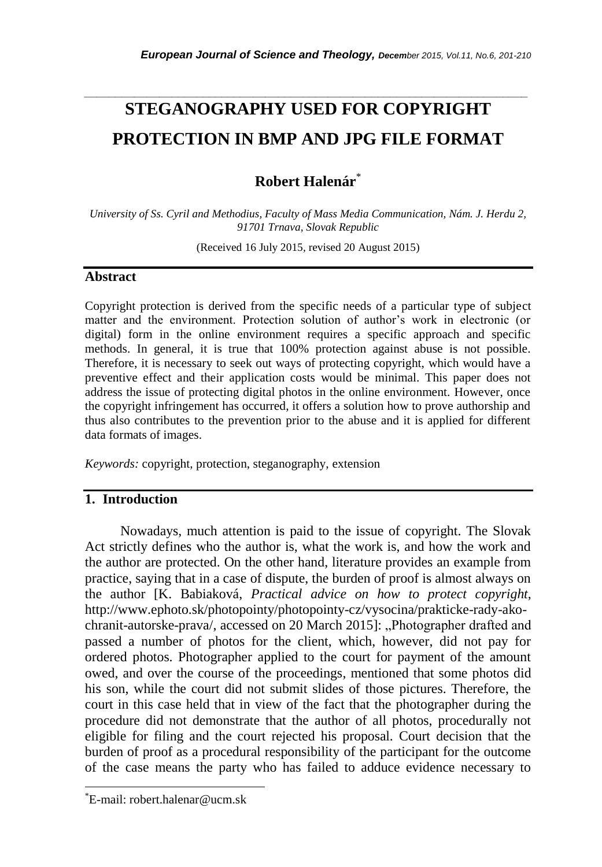# **STEGANOGRAPHY USED FOR COPYRIGHT PROTECTION IN BMP AND JPG FILE FORMAT**

*\_\_\_\_\_\_\_\_\_\_\_\_\_\_\_\_\_\_\_\_\_\_\_\_\_\_\_\_\_\_\_\_\_\_\_\_\_\_\_\_\_\_\_\_\_\_\_\_\_\_\_\_\_\_\_\_\_\_\_\_\_\_\_\_\_\_\_\_\_\_\_*

# **Robert Halenár**\*

*University of Ss. Cyril and Methodius, Faculty of Mass Media Communication, Nám. J. Herdu 2, 91701 Trnava, Slovak Republic*

(Received 16 July 2015, revised 20 August 2015)

#### **Abstract**

Copyright protection is derived from the specific needs of a particular type of subject matter and the environment. Protection solution of author"s work in electronic (or digital) form in the online environment requires a specific approach and specific methods. In general, it is true that 100% protection against abuse is not possible. Therefore, it is necessary to seek out ways of protecting copyright, which would have a preventive effect and their application costs would be minimal. This paper does not address the issue of protecting digital photos in the online environment. However, once the copyright infringement has occurred, it offers a solution how to prove authorship and thus also contributes to the prevention prior to the abuse and it is applied for different data formats of images.

*Keywords:* copyright, protection, steganography, extension

### **1. Introduction**

Nowadays, much attention is paid to the issue of copyright. The Slovak Act strictly defines who the author is, what the work is, and how the work and the author are protected. On the other hand, literature provides an example from practice, saying that in a case of dispute, the burden of proof is almost always on the author [K. Babiaková, *Practical advice on how to protect copyright*, [http://www.ephoto.sk/photopointy/photopointy-cz/vysocina/prakticke-rady-ako](http://www.ephoto.sk/photopointy/photopointy-cz/vysocina/prakticke-rady-ako-chranit-autorske-prava/)[chranit-autorske-prava/,](http://www.ephoto.sk/photopointy/photopointy-cz/vysocina/prakticke-rady-ako-chranit-autorske-prava/) accessed on 20 March 2015]: "Photographer drafted and passed a number of photos for the client, which, however, did not pay for ordered photos. Photographer applied to the court for payment of the amount owed, and over the course of the proceedings, mentioned that some photos did his son, while the court did not submit slides of those pictures. Therefore, the court in this case held that in view of the fact that the photographer during the procedure did not demonstrate that the author of all photos, procedurally not eligible for filing and the court rejected his proposal. Court decision that the burden of proof as a procedural responsibility of the participant for the outcome of the case means the party who has failed to adduce evidence necessary to

l

<sup>\*</sup>E-mail: robert.halenar@ucm.sk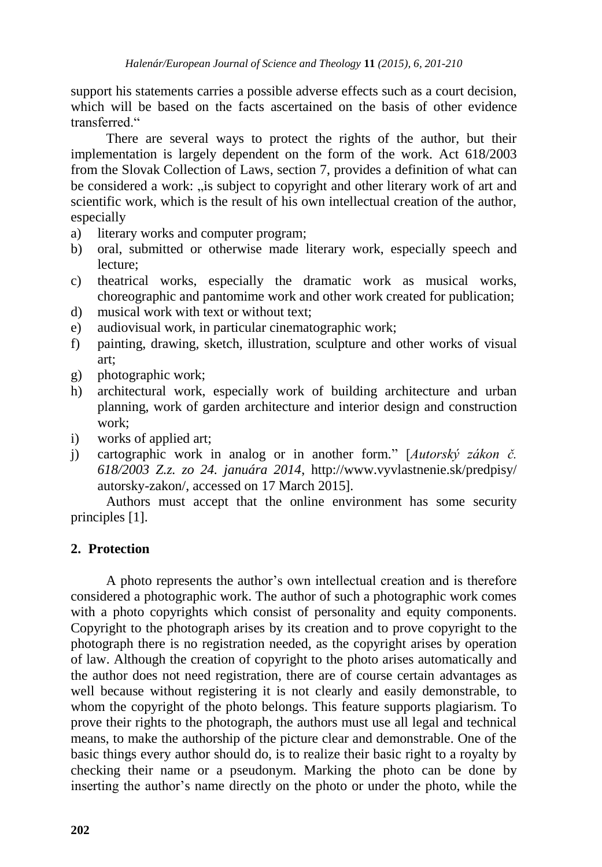support his statements carries a possible adverse effects such as a court decision, which will be based on the facts ascertained on the basis of other evidence transferred."

There are several ways to protect the rights of the author, but their implementation is largely dependent on the form of the work. Act 618/2003 from the Slovak Collection of Laws, section 7, provides a definition of what can be considered a work: ..is subject to copyright and other literary work of art and scientific work, which is the result of his own intellectual creation of the author, especially

- a) literary works and computer program;
- b) oral, submitted or otherwise made literary work, especially speech and lecture;
- c) theatrical works, especially the dramatic work as musical works, choreographic and pantomime work and other work created for publication;
- d) musical work with text or without text;
- e) audiovisual work, in particular cinematographic work;
- f) painting, drawing, sketch, illustration, sculpture and other works of visual art;
- g) photographic work;
- h) architectural work, especially work of building architecture and urban planning, work of garden architecture and interior design and construction work;
- i) works of applied art;
- j) cartographic work in analog or in another form." [*Autorský zákon č. 618/2003 Z.z. zo 24. januára 2014*, http://www.vyvlastnenie.sk/predpisy/ autorsky-zakon/, accessed on 17 March 2015].

Authors must accept that the online environment has some security principles [1].

### **2. Protection**

A photo represents the author"s own intellectual creation and is therefore considered a photographic work. The author of such a photographic work comes with a photo copyrights which consist of personality and equity components. Copyright to the photograph arises by its creation and to prove copyright to the photograph there is no registration needed, as the copyright arises by operation of law. Although the creation of copyright to the photo arises automatically and the author does not need registration, there are of course certain advantages as well because without registering it is not clearly and easily demonstrable, to whom the copyright of the photo belongs. This feature supports plagiarism. To prove their rights to the photograph, the authors must use all legal and technical means, to make the authorship of the picture clear and demonstrable. One of the basic things every author should do, is to realize their basic right to a royalty by checking their name or a pseudonym. Marking the photo can be done by inserting the author"s name directly on the photo or under the photo, while the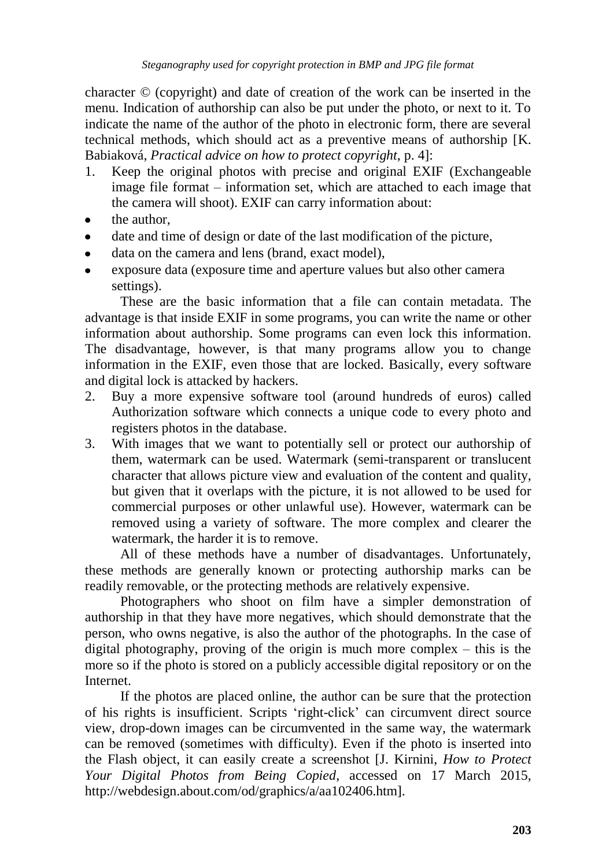character © (copyright) and date of creation of the work can be inserted in the menu. Indication of authorship can also be put under the photo, or next to it. To indicate the name of the author of the photo in electronic form, there are several technical methods, which should act as a preventive means of authorship [K. Babiaková, *Practical advice on how to protect copyright*, p. 4]:

- 1. Keep the original photos with precise and original EXIF (Exchangeable image file format – information set, which are attached to each image that the camera will shoot). EXIF can carry information about:
- the author,
- date and time of design or date of the last modification of the picture,
- data on the camera and lens (brand, exact model),
- exposure data (exposure time and aperture values but also other camera settings).

These are the basic information that a file can contain metadata. The advantage is that inside EXIF in some programs, you can write the name or other information about authorship. Some programs can even lock this information. The disadvantage, however, is that many programs allow you to change information in the EXIF, even those that are locked. Basically, every software and digital lock is attacked by hackers.

- 2. Buy a more expensive software tool (around hundreds of euros) called Authorization software which connects a unique code to every photo and registers photos in the database.
- 3. With images that we want to potentially sell or protect our authorship of them, watermark can be used. Watermark (semi-transparent or translucent character that allows picture view and evaluation of the content and quality, but given that it overlaps with the picture, it is not allowed to be used for commercial purposes or other unlawful use). However, watermark can be removed using a variety of software. The more complex and clearer the watermark, the harder it is to remove.

All of these methods have a number of disadvantages. Unfortunately, these methods are generally known or protecting authorship marks can be readily removable, or the protecting methods are relatively expensive.

Photographers who shoot on film have a simpler demonstration of authorship in that they have more negatives, which should demonstrate that the person, who owns negative, is also the author of the photographs. In the case of digital photography, proving of the origin is much more complex – this is the more so if the photo is stored on a publicly accessible digital repository or on the Internet.

If the photos are placed online, the author can be sure that the protection of his rights is insufficient. Scripts "right-click" can circumvent direct source view, drop-down images can be circumvented in the same way, the watermark can be removed (sometimes with difficulty). Even if the photo is inserted into the Flash object, it can easily create a screenshot [J. Kirnini, *How to Protect Your Digital Photos from Being Copied*, accessed on 17 March 2015, [http://webdesign.about.com/od/graphics/a/aa102406.htm\]](http://webdesign.about.com/od/graphics/a/aa102406.htm).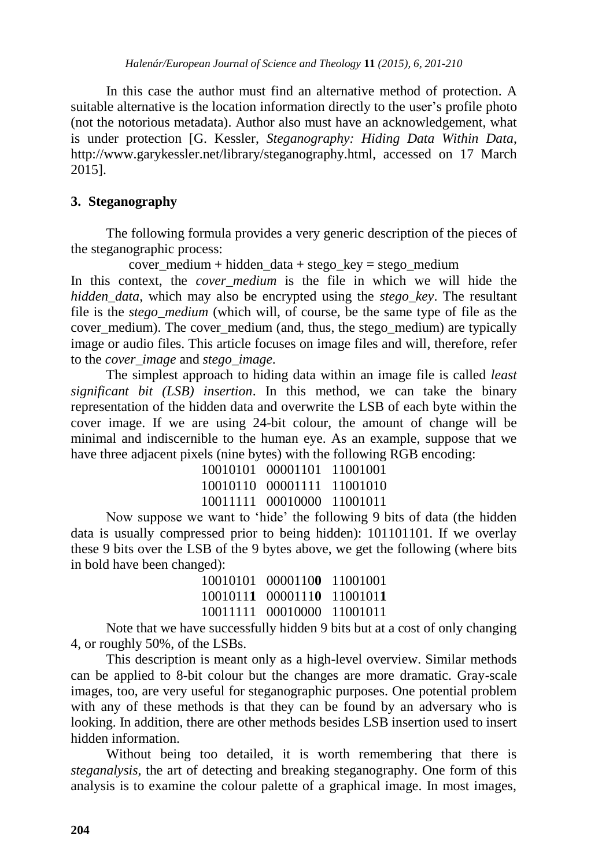In this case the author must find an alternative method of protection. A suitable alternative is the location information directly to the user's profile photo (not the notorious metadata). Author also must have an acknowledgement, what is under protection [G. Kessler, *Steganography: Hiding Data Within Data*, http://www.garykessler.net/library/steganography.html, accessed on 17 March 2015].

## **3. Steganography**

The following formula provides a very generic description of the pieces of the steganographic process:

cover medium + hidden data + stego key = stego medium

In this context, the *cover medium* is the file in which we will hide the *hidden\_data*, which may also be encrypted using the *stego\_key*. The resultant file is the *stego\_medium* (which will, of course, be the same type of file as the cover medium). The cover medium (and, thus, the stego medium) are typically image or audio files. This article focuses on image files and will, therefore, refer to the *cover\_image* and *stego\_image*.

The simplest approach to hiding data within an image file is called *least significant bit (LSB) insertion*. In this method, we can take the binary representation of the hidden data and overwrite the LSB of each byte within the cover image. If we are using 24-bit colour, the amount of change will be minimal and indiscernible to the human eye. As an example, suppose that we have three adjacent pixels (nine bytes) with the following RGB encoding:

| 10010101 00001101          | 11001001 |
|----------------------------|----------|
| 10010110 00001111 11001010 |          |
| 10011111 00010000 11001011 |          |

Now suppose we want to "hide" the following 9 bits of data (the hidden data is usually compressed prior to being hidden): 101101101. If we overlay these 9 bits over the LSB of the 9 bytes above, we get the following (where bits in bold have been changed):

> 10010101 0000110**0** 11001001 1001011**1** 0000111**0** 1100101**1** 10011111 00010000 11001011

Note that we have successfully hidden 9 bits but at a cost of only changing 4, or roughly 50%, of the LSBs.

This description is meant only as a high-level overview. Similar methods can be applied to 8-bit colour but the changes are more dramatic. Gray-scale images, too, are very useful for steganographic purposes. One potential problem with any of these methods is that they can be found by an adversary who is looking. In addition, there are other methods besides LSB insertion used to insert hidden information.

Without being too detailed, it is worth remembering that there is *steganalysis*, the art of detecting and breaking steganography. One form of this analysis is to examine the colour palette of a graphical image. In most images,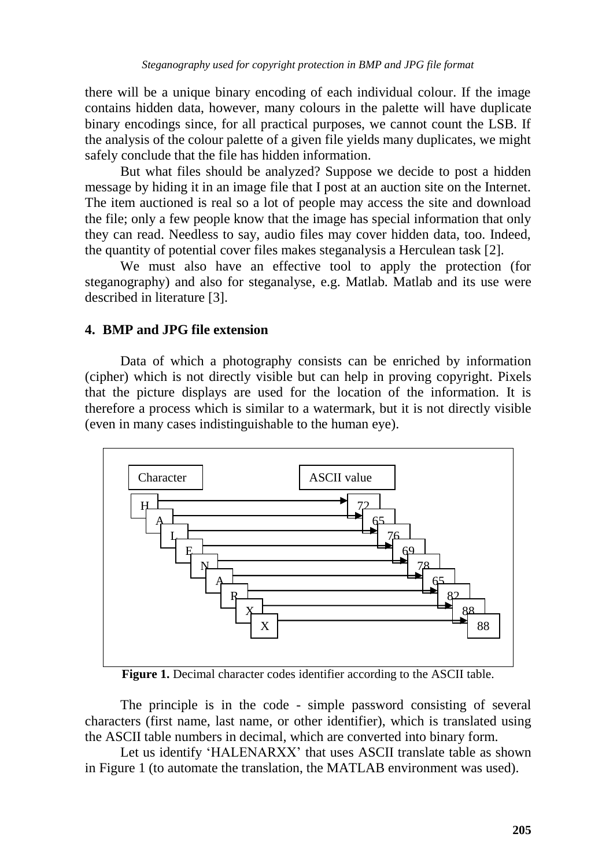there will be a unique binary encoding of each individual colour. If the image contains hidden data, however, many colours in the palette will have duplicate binary encodings since, for all practical purposes, we cannot count the LSB. If the analysis of the colour palette of a given file yields many duplicates, we might safely conclude that the file has hidden information.

But what files should be analyzed? Suppose we decide to post a hidden message by hiding it in an image file that I post at an auction site on the Internet. The item auctioned is real so a lot of people may access the site and download the file; only a few people know that the image has special information that only they can read. Needless to say, audio files may cover hidden data, too. Indeed, the quantity of potential cover files makes steganalysis a Herculean task [2].

We must also have an effective tool to apply the protection (for steganography) and also for steganalyse, e.g. Matlab. Matlab and its use were described in literature [3].

#### **4. BMP and JPG file extension**

Data of which a photography consists can be enriched by information (cipher) which is not directly visible but can help in proving copyright. Pixels that the picture displays are used for the location of the information. It is therefore a process which is similar to a watermark, but it is not directly visible (even in many cases indistinguishable to the human eye).



**Figure 1.** Decimal character codes identifier according to the ASCII table.

The principle is in the code - simple password consisting of several characters (first name, last name, or other identifier), which is translated using the ASCII table numbers in decimal, which are converted into binary form.

Let us identify 'HALENARXX' that uses ASCII translate table as shown in Figure 1 (to automate the translation, the MATLAB environment was used).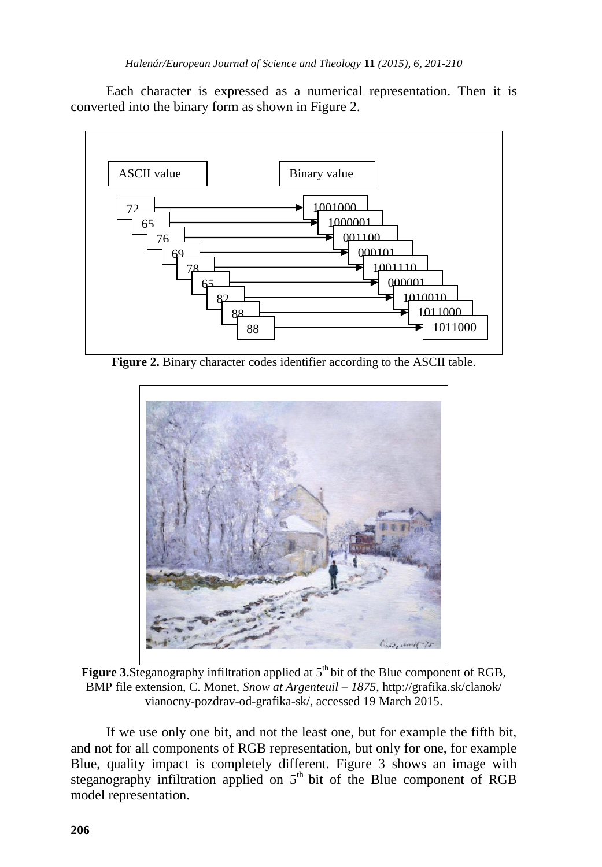Each character is expressed as a numerical representation. Then it is converted into the binary form as shown in Figure 2.



**Figure 2.** Binary character codes identifier according to the ASCII table.



Figure 3.Steganography infiltration applied at 5<sup>th</sup> bit of the Blue component of RGB, BMP file extension, C. Monet, *Snow at Argenteuil – 1875*, http://grafika.sk/clanok/ vianocny-pozdrav-od-grafika-sk/, accessed 19 March 2015.

If we use only one bit, and not the least one, but for example the fifth bit, and not for all components of RGB representation, but only for one, for example Blue, quality impact is completely different. Figure 3 shows an image with steganography infiltration applied on  $5<sup>th</sup>$  bit of the Blue component of RGB model representation.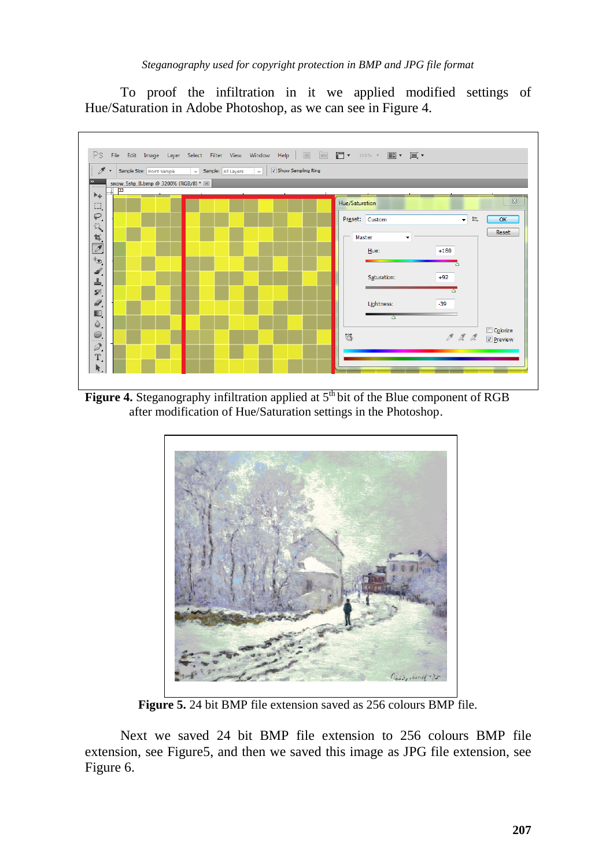To proof the infiltration in it we applied modified settings of Hue/Saturation in Adobe Photoshop, as we can see in Figure 4.



**Figure 4.** Steganography infiltration applied at 5<sup>th</sup> bit of the Blue component of RGB after modification of Hue/Saturation settings in the Photoshop.



**Figure 5.** 24 bit BMP file extension saved as 256 colours BMP file.

Next we saved 24 bit BMP file extension to 256 colours BMP file extension, see Figure5, and then we saved this image as JPG file extension, see Figure 6.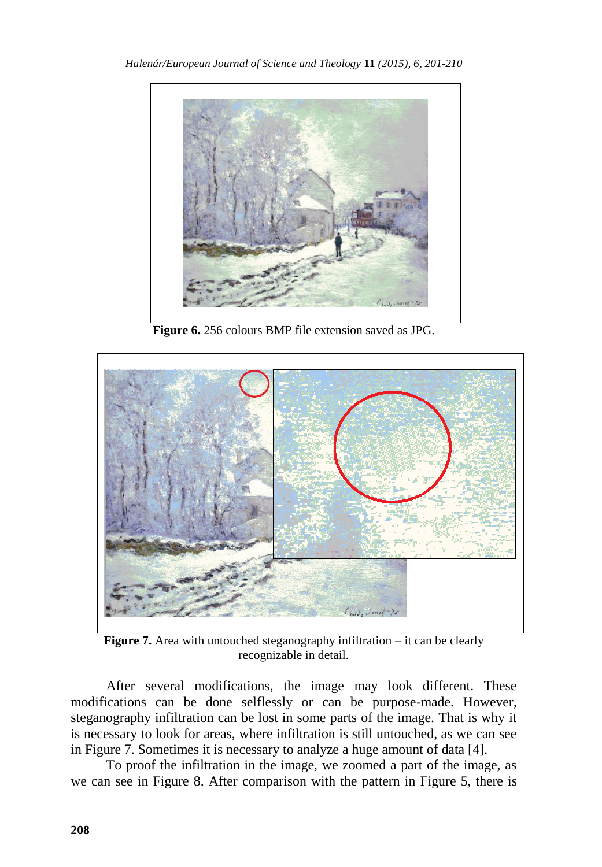

**Figure 6.** 256 colours BMP file extension saved as JPG.



**Figure 7.** Area with untouched steganography infiltration – it can be clearly recognizable in detail.

After several modifications, the image may look different. These modifications can be done selflessly or can be purpose-made. However, steganography infiltration can be lost in some parts of the image. That is why it is necessary to look for areas, where infiltration is still untouched, as we can see in Figure 7. Sometimes it is necessary to analyze a huge amount of data [4].

To proof the infiltration in the image, we zoomed a part of the image, as we can see in Figure 8. After comparison with the pattern in Figure 5, there is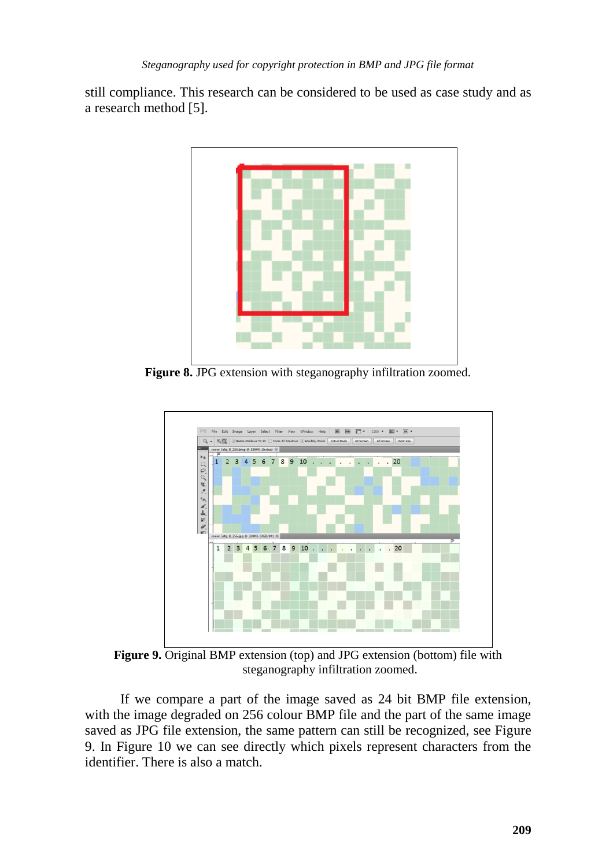still compliance. This research can be considered to be used as case study and as a research method [5].



**Figure 8.** JPG extension with steganography infiltration zoomed.



**Figure 9.** Original BMP extension (top) and JPG extension (bottom) file with steganography infiltration zoomed.

If we compare a part of the image saved as 24 bit BMP file extension, with the image degraded on 256 colour BMP file and the part of the same image saved as JPG file extension, the same pattern can still be recognized, see Figure 9. In Figure 10 we can see directly which pixels represent characters from the identifier. There is also a match.